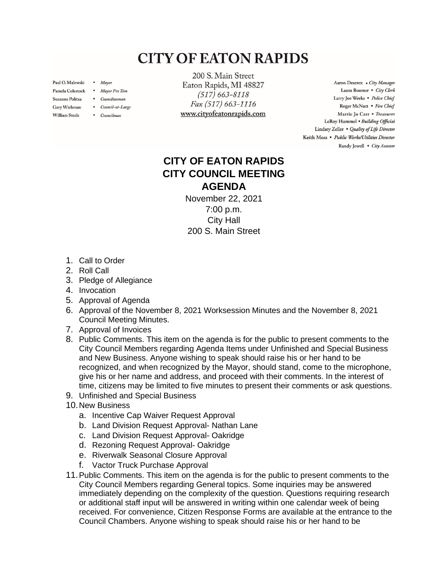## **CITY OF EATON RAPIDS**

Paul O. Malewski . Mayor

Gary Wichman

**William Steele** 

- Pamela Colestock . Mayor Pro Tem
- Suzanne Politza . Councilwoman
	- Council-at-Large
	- Councilman

200 S. Main Street Eaton Rapids, MI 48827  $(517) 663 - 8118$ Fax (517) 663-1116 www.cityofeatonrapids.com

Aaron Desentz . City Manager Laura Boomer . City Clerk Larry Joe Weeks . Police Chief Roger McNutt · Fire Chief Marrie Jo Carr . Treasurer LeRoy Hummel . Building Official Lindsey Zeller . Quality of Life Director Keith Moss · Public Works/Utilities Director Randy Jewell . City Assessor

## **CITY OF EATON RAPIDS CITY COUNCIL MEETING AGENDA**

November 22, 2021 7:00 p.m. City Hall 200 S. Main Street

- 1. Call to Order
- 2. Roll Call
- 3. Pledge of Allegiance
- 4. Invocation
- 5. Approval of Agenda
- 6. Approval of the November 8, 2021 Worksession Minutes and the November 8, 2021 Council Meeting Minutes.
- 7. Approval of Invoices
- 8. Public Comments. This item on the agenda is for the public to present comments to the City Council Members regarding Agenda Items under Unfinished and Special Business and New Business. Anyone wishing to speak should raise his or her hand to be recognized, and when recognized by the Mayor, should stand, come to the microphone, give his or her name and address, and proceed with their comments. In the interest of time, citizens may be limited to five minutes to present their comments or ask questions.
- 9. Unfinished and Special Business
- 10.New Business
	- a. Incentive Cap Waiver Request Approval
	- b. Land Division Request Approval- Nathan Lane
	- c. Land Division Request Approval- Oakridge
	- d. Rezoning Request Approval- Oakridge
	- e. Riverwalk Seasonal Closure Approval
	- f. Vactor Truck Purchase Approval
- 11.Public Comments. This item on the agenda is for the public to present comments to the City Council Members regarding General topics. Some inquiries may be answered immediately depending on the complexity of the question. Questions requiring research or additional staff input will be answered in writing within one calendar week of being received. For convenience, Citizen Response Forms are available at the entrance to the Council Chambers. Anyone wishing to speak should raise his or her hand to be